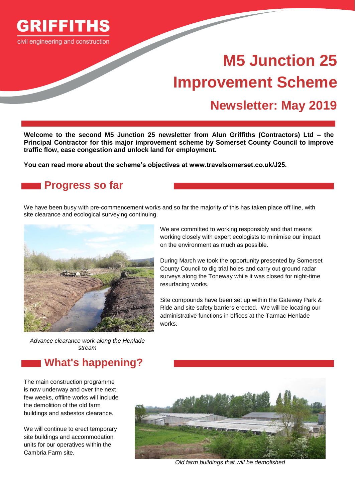

civil engineering and construction

# **M5 Junction 25 Improvement Scheme**

## **Newsletter: May 2019**

**Welcome to the second M5 Junction 25 newsletter from Alun Griffiths (Contractors) Ltd – the Principal Contractor for this major improvement scheme by Somerset County Council to improve traffic flow, ease congestion and unlock land for employment.** 

**You can read more about the scheme's objectives at www.travelsomerset.co.uk/J25.**

#### **Progress so far**

We have been busy with pre-commencement works and so far the majority of this has taken place off line, with site clearance and ecological surveying continuing.



We are committed to working responsibly and that means working closely with expert ecologists to minimise our impact on the environment as much as possible.

During March we took the opportunity presented by Somerset County Council to dig trial holes and carry out ground radar surveys along the Toneway while it was closed for night-time resurfacing works.

Site compounds have been set up within the Gateway Park & Ride and site safety barriers erected. We will be locating our administrative functions in offices at the Tarmac Henlade works.

*Advance clearance work along the Henlade stream*

#### **What's happening?**

The main construction programme is now underway and over the next few weeks, offline works will include the demolition of the old farm buildings and asbestos clearance.

We will continue to erect temporary site buildings and accommodation units for our operatives within the Cambria Farm site.



*Old farm buildings that will be demolished*